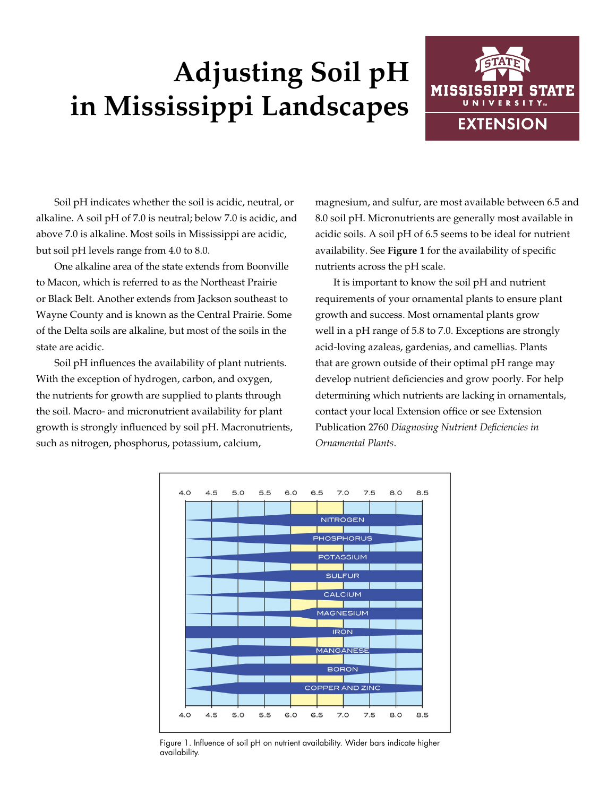# **Adjusting Soil pH in Mississippi Landscapes**



Soil pH indicates whether the soil is acidic, neutral, or alkaline. A soil pH of 7.0 is neutral; below 7.0 is acidic, and above 7.0 is alkaline. Most soils in Mississippi are acidic, but soil pH levels range from 4.0 to 8.0.

One alkaline area of the state extends from Boonville to Macon, which is referred to as the Northeast Prairie or Black Belt. Another extends from Jackson southeast to Wayne County and is known as the Central Prairie. Some of the Delta soils are alkaline, but most of the soils in the state are acidic.

Soil pH influences the availability of plant nutrients. With the exception of hydrogen, carbon, and oxygen, the nutrients for growth are supplied to plants through the soil. Macro- and micronutrient availability for plant growth is strongly influenced by soil pH. Macronutrients, such as nitrogen, phosphorus, potassium, calcium,

magnesium, and sulfur, are most available between 6.5 and 8.0 soil pH. Micronutrients are generally most available in acidic soils. A soil pH of 6.5 seems to be ideal for nutrient availability. See **Figure 1** for the availability of specific nutrients across the pH scale.

It is important to know the soil pH and nutrient requirements of your ornamental plants to ensure plant growth and success. Most ornamental plants grow well in a pH range of 5.8 to 7.0. Exceptions are strongly acid-loving azaleas, gardenias, and camellias. Plants that are grown outside of their optimal pH range may develop nutrient deficiencies and grow poorly. For help determining which nutrients are lacking in ornamentals, contact your local Extension office or see Extension Publication 2760 *Diagnosing Nutrient Deficiencies in Ornamental Plants*.



Figure 1. Influence of soil pH on nutrient availability. Wider bars indicate higher availability.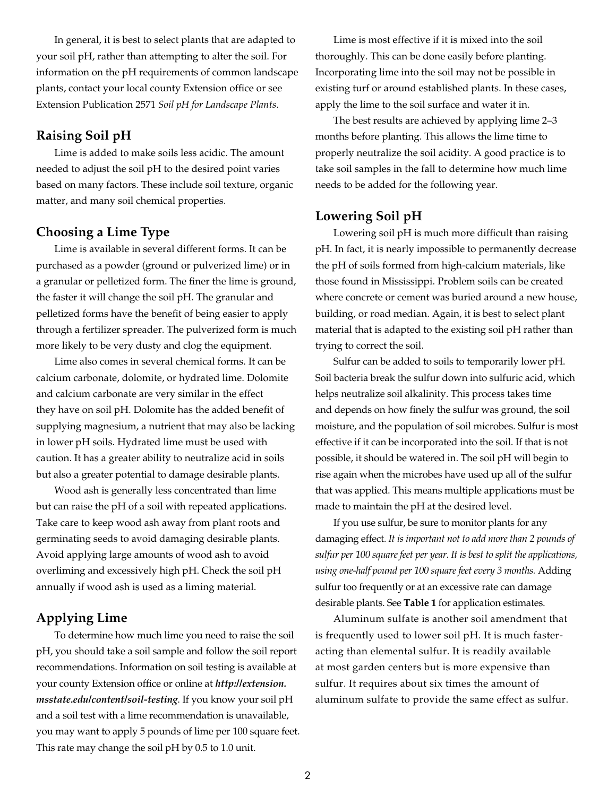In general, it is best to select plants that are adapted to your soil pH, rather than attempting to alter the soil. For information on the pH requirements of common landscape plants, contact your local county Extension office or see Extension Publication 2571 *Soil pH for Landscape Plants*.

### **Raising Soil pH**

Lime is added to make soils less acidic. The amount needed to adjust the soil pH to the desired point varies based on many factors. These include soil texture, organic matter, and many soil chemical properties.

### **Choosing a Lime Type**

Lime is available in several different forms. It can be purchased as a powder (ground or pulverized lime) or in a granular or pelletized form. The finer the lime is ground, the faster it will change the soil pH. The granular and pelletized forms have the benefit of being easier to apply through a fertilizer spreader. The pulverized form is much more likely to be very dusty and clog the equipment.

Lime also comes in several chemical forms. It can be calcium carbonate, dolomite, or hydrated lime. Dolomite and calcium carbonate are very similar in the effect they have on soil pH. Dolomite has the added benefit of supplying magnesium, a nutrient that may also be lacking in lower pH soils. Hydrated lime must be used with caution. It has a greater ability to neutralize acid in soils but also a greater potential to damage desirable plants.

Wood ash is generally less concentrated than lime but can raise the pH of a soil with repeated applications. Take care to keep wood ash away from plant roots and germinating seeds to avoid damaging desirable plants. Avoid applying large amounts of wood ash to avoid overliming and excessively high pH. Check the soil pH annually if wood ash is used as a liming material.

## **Applying Lime**

To determine how much lime you need to raise the soil pH, you should take a soil sample and follow the soil report recommendations. Information on soil testing is available at your county Extension office or online at *http://extension. msstate.edu/content/soil-testing*. If you know your soil pH and a soil test with a lime recommendation is unavailable, you may want to apply 5 pounds of lime per 100 square feet. This rate may change the soil pH by 0.5 to 1.0 unit.

Lime is most effective if it is mixed into the soil thoroughly. This can be done easily before planting. Incorporating lime into the soil may not be possible in existing turf or around established plants. In these cases, apply the lime to the soil surface and water it in.

The best results are achieved by applying lime 2–3 months before planting. This allows the lime time to properly neutralize the soil acidity. A good practice is to take soil samples in the fall to determine how much lime needs to be added for the following year.

#### **Lowering Soil pH**

Lowering soil pH is much more difficult than raising pH. In fact, it is nearly impossible to permanently decrease the pH of soils formed from high-calcium materials, like those found in Mississippi. Problem soils can be created where concrete or cement was buried around a new house, building, or road median. Again, it is best to select plant material that is adapted to the existing soil pH rather than trying to correct the soil.

Sulfur can be added to soils to temporarily lower pH. Soil bacteria break the sulfur down into sulfuric acid, which helps neutralize soil alkalinity. This process takes time and depends on how finely the sulfur was ground, the soil moisture, and the population of soil microbes. Sulfur is most effective if it can be incorporated into the soil. If that is not possible, it should be watered in. The soil pH will begin to rise again when the microbes have used up all of the sulfur that was applied. This means multiple applications must be made to maintain the pH at the desired level.

If you use sulfur, be sure to monitor plants for any damaging effect. *It is important not to add more than 2 pounds of sulfur per 100 square feet per year. It is best to split the applications, using one-half pound per 100 square feet every 3 months.* Adding sulfur too frequently or at an excessive rate can damage desirable plants. See **Table 1** for application estimates.

Aluminum sulfate is another soil amendment that is frequently used to lower soil pH. It is much fasteracting than elemental sulfur. It is readily available at most garden centers but is more expensive than sulfur. It requires about six times the amount of aluminum sulfate to provide the same effect as sulfur.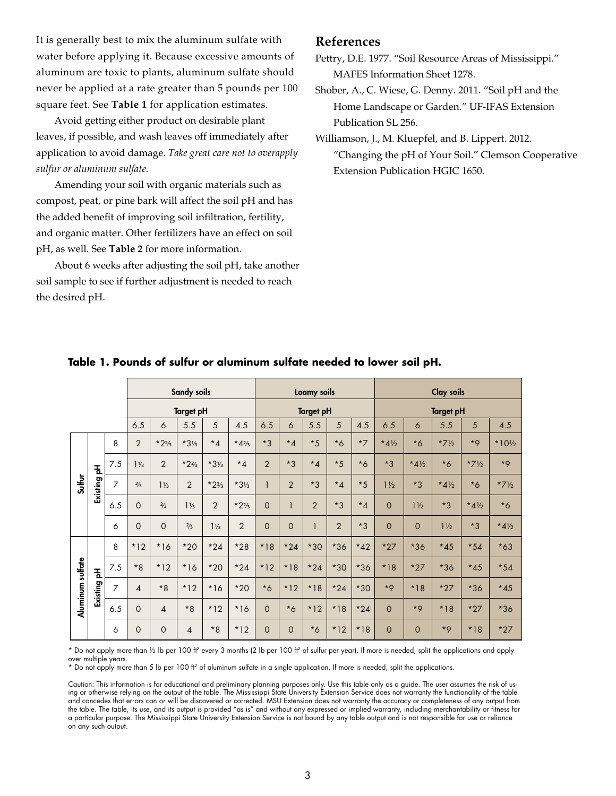It is generally best to mix the aluminum sulfate with water before applying it. Because excessive amounts of aluminum are toxic to plants, aluminum sulfate should never be applied at a rate greater than 5 pounds per 100 square feet. See **Table 1** for application estimates.

Avoid getting either product on desirable plant leaves, if possible, and wash leaves off immediately after application to avoid damage. *Take great care not to overapply sulfur or aluminum sulfate.* 

Amending your soil with organic materials such as compost, peat, or pine bark will affect the soil pH and has the added benefit of improving soil infiltration, fertility, and organic matter. Other fertilizers have an effect on soil pH, as well. See **Table 2** for more information.

About 6 weeks after adjusting the soil pH, take another soil sample to see if further adjustment is needed to reach the desired pH.

#### **References**

Pettry, D.E. 1977. "Soil Resource Areas of Mississippi." MAFES Information Sheet 1278.

Shober, A., C. Wiese, G. Denny. 2011. "Soil pH and the Home Landscape or Garden." UF-IFAS Extension Publication SL 256.

Williamson, J., M. Kluepfel, and B. Lippert. 2012. "Changing the pH of Your Soil." Clemson Cooperative Extension Publication HGIC 1650.

|                  | Sandy soils |                |                          |                          | Loamy soils     |                 |                   |                | <b>Clay soils</b> |                |                  |         |                 |                 |                 |                 |                  |
|------------------|-------------|----------------|--------------------------|--------------------------|-----------------|-----------------|-------------------|----------------|-------------------|----------------|------------------|---------|-----------------|-----------------|-----------------|-----------------|------------------|
|                  |             |                | <b>Target pH</b>         |                          |                 |                 | <b>Target pH</b>  |                |                   |                | <b>Target pH</b> |         |                 |                 |                 |                 |                  |
|                  |             |                | 6.5                      | 6                        | 5.5             | 5               | 4.5               | 6.5            | 6                 | 5.5            | 5                | 4.5     | 6.5             | $\ddot{\circ}$  | 5.5             | 5               | 4.5              |
| <b>Sulfur</b>    | Existing pH | 8              | $\overline{2}$           | $*2\frac{2}{3}$          | $*3\frac{1}{3}$ | $*_{4}$         | * $4\frac{2}{3}$  | $*3$           | $*_{4}$           | $*5$           | $*6$             | $*7$    | $*4\frac{1}{2}$ | $*6$            | $*7\frac{1}{2}$ | $*9$            | $*10\frac{1}{2}$ |
|                  |             | 7.5            | $1\frac{1}{3}$           | 2                        | $*2\frac{2}{3}$ | $*3\frac{1}{3}$ | $*_{\mathcal{A}}$ | $\overline{2}$ | $*3$              | $*_{4}$        | $*5$             | $*6$    | $*3$            | $*4\frac{1}{2}$ | $*6$            | $*7\frac{1}{2}$ | $*9$             |
|                  |             | 7              | $\frac{2}{3}$            | $1\frac{1}{3}$           | $\overline{2}$  | $*23$           | $*3\frac{1}{3}$   |                | $\overline{2}$    | $*3$           | $*_{4}$          | $*5$    | $1\frac{1}{2}$  | $*3$            | $*4\frac{1}{2}$ | $*6$            | $*7\frac{1}{2}$  |
|                  |             | 6.5            | $\Omega$                 | $\frac{2}{3}$            | $1\frac{1}{3}$  | $\overline{2}$  | $*2\frac{2}{3}$   | $\mathbf 0$    |                   | $\overline{2}$ | $*3$             | $*_{4}$ | $\Omega$        | $1\frac{1}{2}$  | $*3$            | $*4\frac{1}{2}$ | $*6$             |
|                  |             | 6              | $\Omega$                 | $\mathbf 0$              | $\frac{2}{3}$   | $1\frac{1}{3}$  | $\overline{2}$    | $\overline{O}$ | $\overline{0}$    |                | $\overline{2}$   | $*3$    | $\Omega$        | $\circ$         | $1\frac{1}{2}$  | $*3$            | $*4\frac{1}{2}$  |
| Aluminum sulfate | Existing pH | 8              | $*12$                    | $*16$                    | $*20$           | $*24$           | $*28$             | $*18$          | $*24$             | $*30$          | $*36$            | $*42$   | $*27$           | $*36$           | $*45$           | $*54$           | $*63$            |
|                  |             | 7.5            | $*8$                     | $*12$                    | $*16$           | $*20$           | $*24$             | $*12$          | $*18$             | $*24$          | $*30$            | $*36$   | $*18$           | $*27$           | $*36$           | $*45$           | $*54$            |
|                  |             | $\overline{7}$ | $\overline{\mathcal{A}}$ | $*8$                     | $*12$           | $*16$           | $*20$             | $*6$           | $*12$             | $*18$          | $*24$            | $*30$   | $*9$            | $*18$           | $*27$           | $*36$           | $*45$            |
|                  |             | 6.5            | $\mathbf 0$              | $\overline{\mathcal{A}}$ | $*8$            | $*12$           | $*16$             | $\mathbf 0$    | $*6$              | $*12$          | $*18$            | $*24$   | $\overline{O}$  | $*9$            | $*18$           | $*27$           | $*36$            |
|                  |             | 6              | 0                        | 0                        | 4               | $*8$            | $*12$             | $\mathbf 0$    | $\mathbf 0$       | $*6$           | $*12$            | $*18$   | $\Omega$        | $\mathbf 0$     | $*9$            | $*18$           | $*27$            |

#### **Table 1. Pounds of sulfur or aluminum sulfate needed to lower soil pH.**

\* Do not apply more than ½ lb per 100 ft2 every 3 months (2 lb per 100 ft2 of sulfur per year). If more is needed, split the applications and apply over multiple years.

\* Do not apply more than 5 lb per 100 ft2 of aluminum sulfate in a single application. If more is needed, split the applications.

Caution: This information is for educational and preliminary planning purposes only. Use this table only as a guide. The user assumes the risk of using or otherwise relying on the output of the table. The Mississippi State University Extension Service does not warranty the functionality of the table and concedes that errors can or will be discovered or corrected. MSU Extension does not warranty the accuracy or completeness of any output from the table. The table, its use, and its output is provided "as is" and without any expressed or implied warranty, including merchantability or fitness for a particular purpose. The Mississippi State University Extension Service is not bound by any table output and is not responsible for use or reliance on any such output.